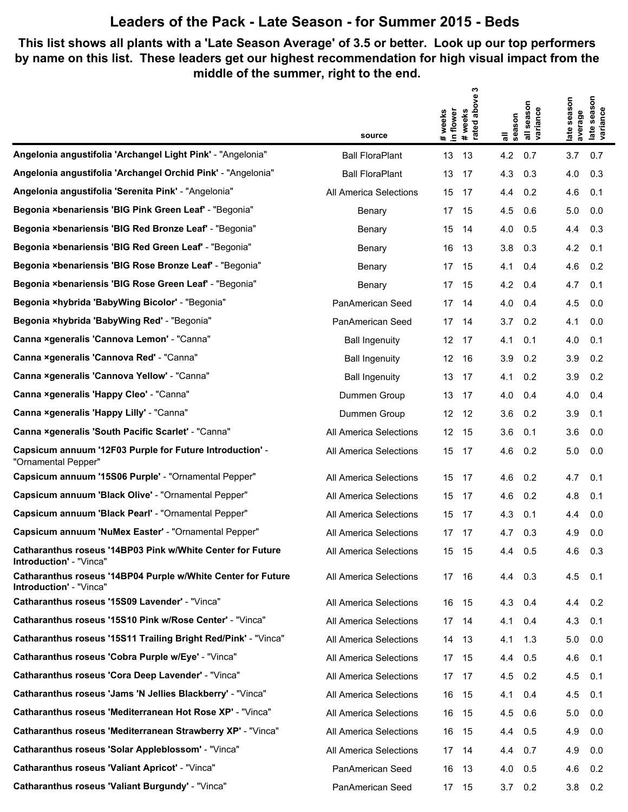#### **This list shows all plants with a 'Late Season Average' of 3.5 or better. Look up our top performers by name on this list. These leaders get our highest recommendation for high visual impact from the middle of the summer, right to the end.**

|                                                                                         |                        | w                                        |                                        |                                      |
|-----------------------------------------------------------------------------------------|------------------------|------------------------------------------|----------------------------------------|--------------------------------------|
|                                                                                         |                        | flower                                   |                                        | season<br>season                     |
|                                                                                         | source                 | #weeks<br>rated above :<br># weeks<br>르. | all season<br>variance<br>season<br>᠊᠆ | variance<br>average<br>late:<br>late |
| Angelonia angustifolia 'Archangel Light Pink' - "Angelonia"                             | <b>Ball FloraPlant</b> | 13<br>13                                 | 4.2<br>0.7                             | 3.7<br>0.7                           |
| Angelonia angustifolia 'Archangel Orchid Pink' - "Angelonia"                            | <b>Ball FloraPlant</b> | 13<br>17                                 | 4.3<br>0.3                             | 4.0<br>0.3                           |
| Angelonia angustifolia 'Serenita Pink' - "Angelonia"                                    | All America Selections | 15<br>17                                 | 0.2<br>4.4                             | 0.1<br>4.6                           |
| Begonia ×benariensis 'BIG Pink Green Leaf' - "Begonia"                                  | Benary                 | 17<br>15                                 | 4.5<br>0.6                             | 5.0<br>0.0                           |
| Begonia ×benariensis 'BIG Red Bronze Leaf' - "Begonia"                                  | Benary                 | 15<br>14                                 | 0.5<br>4.0                             | 0.3<br>4.4                           |
| Begonia ×benariensis 'BIG Red Green Leaf' - "Begonia"                                   | Benary                 | 16<br>13                                 | 3.8<br>0.3                             | 4.2<br>0.1                           |
| Begonia ×benariensis 'BIG Rose Bronze Leaf' - "Begonia"                                 | Benary                 | 17<br>15                                 | 0.4<br>4.1                             | 4.6<br>0.2                           |
| Begonia ×benariensis 'BIG Rose Green Leaf' - "Begonia"                                  | Benary                 | 17<br>15                                 | 4.2<br>0.4                             | 4.7<br>0.1                           |
| Begonia ×hybrida 'BabyWing Bicolor' - "Begonia"                                         | PanAmerican Seed       | 17<br>14                                 | 4.0<br>0.4                             | 4.5<br>0.0                           |
| Begonia ×hybrida 'BabyWing Red' - "Begonia"                                             | PanAmerican Seed       | 17<br>14                                 | 3.7<br>0.2                             | 4.1<br>0.0                           |
| Canna ×generalis 'Cannova Lemon' - "Canna"                                              | <b>Ball Ingenuity</b>  | 12<br>- 17                               | 4.1<br>0.1                             | 0.1<br>4.0                           |
| Canna ×generalis 'Cannova Red' - "Canna"                                                | <b>Ball Ingenuity</b>  | 12<br>16                                 | 3.9<br>0.2                             | 3.9<br>0.2                           |
| Canna ×generalis 'Cannova Yellow' - "Canna"                                             | <b>Ball Ingenuity</b>  | 13<br>17                                 | 4.1<br>0.2                             | 3.9<br>0.2                           |
| Canna ×generalis 'Happy Cleo' - "Canna"                                                 | Dummen Group           | 13<br>17                                 | 4.0<br>0.4                             | 4.0<br>0.4                           |
| Canna xgeneralis 'Happy Lilly' - "Canna"                                                | Dummen Group           | 12<br>12                                 | 3.6<br>0.2                             | 3.9<br>0.1                           |
| Canna ×generalis 'South Pacific Scarlet' - "Canna"                                      | All America Selections | 12<br>15                                 | 3.6<br>0.1                             | 3.6<br>0.0                           |
| Capsicum annuum '12F03 Purple for Future Introduction' -<br>"Ornamental Pepper"         | All America Selections | 15<br>17                                 | 4.6<br>0.2                             | 5.0<br>0.0                           |
| Capsicum annuum '15S06 Purple' - "Ornamental Pepper"                                    | All America Selections | 15<br>17                                 | 4.6<br>0.2                             | 0.1<br>4.7                           |
| Capsicum annuum 'Black Olive' - "Ornamental Pepper"                                     | All America Selections | 15<br>17                                 | 4.6<br>0.2                             | 4.8<br>0.1                           |
| Capsicum annuum 'Black Pearl' - "Ornamental Pepper"                                     | All America Selections | 15<br>17                                 | 4.3<br>0.1                             | 0.0<br>4.4                           |
| Capsicum annuum 'NuMex Easter' - "Ornamental Pepper"                                    | All America Selections | 17<br>17                                 | 0.3<br>4.7                             | 4.9<br>0.0                           |
| Catharanthus roseus '14BP03 Pink w/White Center for Future<br>Introduction' - "Vinca"   | All America Selections | 15 15                                    | 4.4 0.5                                | 4.6<br>0.3                           |
| Catharanthus roseus '14BP04 Purple w/White Center for Future<br>Introduction' - "Vinca" | All America Selections | 17<br>- 16                               | 4.4 0.3                                | 4.5<br>0.1                           |
| Catharanthus roseus '15S09 Lavender' - "Vinca"                                          | All America Selections | 16 15                                    | 4.3 0.4                                | $4.4 \quad 0.2$                      |
| Catharanthus roseus '15S10 Pink w/Rose Center' - "Vinca"                                | All America Selections | 17 14                                    | 4.1<br>0.4                             | 4.3<br>0.1                           |
| Catharanthus roseus '15S11 Trailing Bright Red/Pink' - "Vinca"                          | All America Selections | 14 13                                    | $4.1 \quad 1.3$                        | 5.0<br>0.0                           |
| Catharanthus roseus 'Cobra Purple w/Eye' - "Vinca"                                      | All America Selections | 17 15                                    | 4.4<br>0.5                             | 4.6<br>0.1                           |
| Catharanthus roseus 'Cora Deep Lavender' - "Vinca"                                      | All America Selections | 17 17                                    | 4.5 0.2                                | 4.5<br>0.1                           |
| Catharanthus roseus 'Jams 'N Jellies Blackberry' - "Vinca"                              | All America Selections | 16<br>- 15                               | 4.1<br>0.4                             | 4.5<br>0.1                           |
| Catharanthus roseus 'Mediterranean Hot Rose XP' - "Vinca"                               | All America Selections | 16<br>- 15                               | 4.5 0.6                                | 5.0<br>0.0                           |
| Catharanthus roseus 'Mediterranean Strawberry XP' - "Vinca"                             | All America Selections | 16<br>15                                 | 4.4<br>0.5                             | 4.9<br>0.0                           |
| Catharanthus roseus 'Solar Appleblossom' - "Vinca"                                      | All America Selections | 17 14                                    | 4.4 0.7                                | 4.9<br>0.0                           |
| <b>Catharanthus roseus 'Valiant Apricot' - "Vinca"</b>                                  | PanAmerican Seed       | 16<br>- 13                               | 4.0<br>0.5                             | 4.6<br>0.2                           |
| Catharanthus roseus 'Valiant Burgundy' - "Vinca"                                        | PanAmerican Seed       | 17 15                                    | $3.7\quad 0.2$                         | 3.8<br>0.2                           |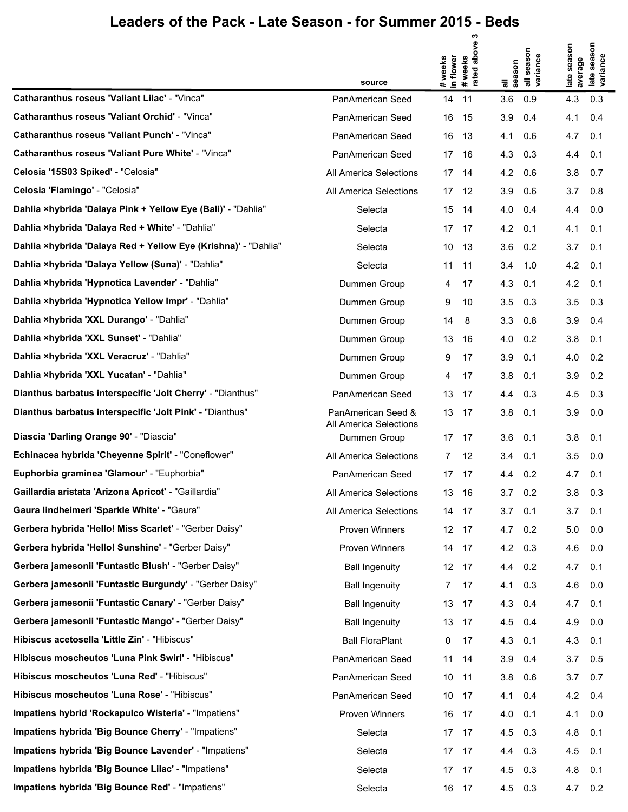|                                                                | source                                       | in flower<br># weeks | ო<br>above<br># weeks<br>rated abo | all<br>season   | all season<br>variance | late season<br>average | season<br>late seas<br>variance |
|----------------------------------------------------------------|----------------------------------------------|----------------------|------------------------------------|-----------------|------------------------|------------------------|---------------------------------|
| <b>Catharanthus roseus 'Valiant Lilac' - "Vinca"</b>           | PanAmerican Seed                             | 14                   | 11                                 | 3.6             | 0.9                    | 4.3                    | 0.3                             |
| Catharanthus roseus 'Valiant Orchid' - "Vinca"                 | PanAmerican Seed                             | 16                   | 15                                 | 3.9             | 0.4                    | 4.1                    | 0.4                             |
| <b>Catharanthus roseus 'Valiant Punch' - "Vinca"</b>           | PanAmerican Seed                             | 16                   | 13                                 | 4.1             | 0.6                    | 4.7                    | 0.1                             |
| <b>Catharanthus roseus 'Valiant Pure White' - "Vinca"</b>      | PanAmerican Seed                             | 17                   | -16                                | 4.3             | 0.3                    | 4.4                    | 0.1                             |
| Celosia '15S03 Spiked' - "Celosia"                             | All America Selections                       | 17                   | 14                                 | 4.2             | 0.6                    | 3.8                    | 0.7                             |
| Celosia 'Flamingo' - "Celosia"                                 | All America Selections                       | 17                   | 12                                 | 3.9             | 0.6                    | 3.7                    | 0.8                             |
| Dahlia xhybrida 'Dalaya Pink + Yellow Eye (Bali)' - "Dahlia"   | Selecta                                      | 15                   | 14                                 | 4.0             | 0.4                    | 4.4                    | 0.0                             |
| Dahlia xhybrida 'Dalaya Red + White' - "Dahlia"                | Selecta                                      |                      | 17 17                              | 4.2             | 0.1                    | 4.1                    | 0.1                             |
| Dahlia ×hybrida 'Dalaya Red + Yellow Eye (Krishna)' - "Dahlia" | Selecta                                      | 10                   | -13                                | 3.6             | 0.2                    | 3.7                    | 0.1                             |
| Dahlia xhybrida 'Dalaya Yellow (Suna)' - "Dahlia"              | Selecta                                      | 11                   | 11                                 | 3.4             | 1.0                    | 4.2                    | 0.1                             |
| Dahlia ×hybrida 'Hypnotica Lavender' - "Dahlia"                | Dummen Group                                 | 4                    | 17                                 | 4.3             | 0.1                    | 4.2                    | 0.1                             |
| Dahlia ×hybrida 'Hypnotica Yellow Impr' - "Dahlia"             | Dummen Group                                 | 9                    | 10                                 | 3.5             | 0.3                    | 3.5                    | 0.3                             |
| Dahlia ×hybrida 'XXL Durango' - "Dahlia"                       | Dummen Group                                 | 14                   | 8                                  | 3.3             | 0.8                    | 3.9                    | 0.4                             |
| Dahlia ×hybrida 'XXL Sunset' - "Dahlia"                        | Dummen Group                                 | 13                   | 16                                 | 4.0             | 0.2                    | 3.8                    | 0.1                             |
| Dahlia ×hybrida 'XXL Veracruz' - "Dahlia"                      | Dummen Group                                 | 9                    | 17                                 | 3.9             | 0.1                    | 4.0                    | 0.2                             |
| Dahlia ×hybrida 'XXL Yucatan' - "Dahlia"                       | Dummen Group                                 | 4                    | 17                                 | 3.8             | 0.1                    | 3.9                    | 0.2                             |
| Dianthus barbatus interspecific 'Jolt Cherry' - "Dianthus"     | PanAmerican Seed                             | 13                   | 17                                 | 4.4             | 0.3                    | 4.5                    | 0.3                             |
| Dianthus barbatus interspecific 'Jolt Pink' - "Dianthus"       | PanAmerican Seed &<br>All America Selections | 13 17                |                                    | 3.8             | 0.1                    | 3.9                    | 0.0                             |
| Diascia 'Darling Orange 90' - "Diascia"                        | Dummen Group                                 |                      | 17 17                              | 3.6             | 0.1                    | 3.8                    | 0.1                             |
| Echinacea hybrida 'Cheyenne Spirit' - "Coneflower"             | All America Selections                       | 7                    | 12                                 | 3.4             | 0.1                    | 3.5                    | 0.0                             |
| Euphorbia graminea 'Glamour' - "Euphorbia"                     | PanAmerican Seed                             |                      | 17 17                              | $4.4 \quad 0.2$ |                        | 4.7                    | 0.1                             |
| Gaillardia aristata 'Arizona Apricot' - "Gaillardia"           | All America Selections                       | 13                   | 16                                 | 3.7             | 0.2                    | 3.8                    | 0.3                             |
| Gaura lindheimeri 'Sparkle White' - "Gaura"                    | All America Selections                       | 14 17                |                                    | $3.7$ 0.1       |                        | 3.7                    | 0.1                             |
| Gerbera hybrida 'Hello! Miss Scarlet' - "Gerber Daisy"         | <b>Proven Winners</b>                        |                      | 12 17                              | $4.7 \quad 0.2$ |                        | 5.0                    | 0.0                             |
| Gerbera hybrida 'Hello! Sunshine' - "Gerber Daisy"             | Proven Winners                               | 14 17                |                                    | 4.2 0.3         |                        | 4.6                    | 0.0                             |
| Gerbera jamesonii 'Funtastic Blush' - "Gerber Daisy"           | <b>Ball Ingenuity</b>                        |                      | 12 17                              | 4.4 0.2         |                        | 4.7                    | 0.1                             |
| Gerbera jamesonii 'Funtastic Burgundy' - "Gerber Daisy"        | <b>Ball Ingenuity</b>                        | 7                    | 17                                 | 4.1 0.3         |                        | 4.6                    | 0.0                             |
| Gerbera jamesonii 'Funtastic Canary' - "Gerber Daisy"          | <b>Ball Ingenuity</b>                        | 13 17                |                                    | 4.3 0.4         |                        | 4.7                    | 0.1                             |
| Gerbera jamesonii 'Funtastic Mango' - "Gerber Daisy"           | <b>Ball Ingenuity</b>                        | 13 17                |                                    | 4.5 0.4         |                        | 4.9                    | 0.0                             |
| Hibiscus acetosella 'Little Zin' - "Hibiscus"                  | <b>Ball FloraPlant</b>                       | 0                    | 17                                 | 4.3 0.1         |                        | 4.3                    | 0.1                             |
| Hibiscus moscheutos 'Luna Pink Swirl' - "Hibiscus"             | PanAmerican Seed                             | 11                   | 14                                 | 3.9             | 0.4                    | 3.7                    | 0.5                             |
| Hibiscus moscheutos 'Luna Red' - "Hibiscus"                    | PanAmerican Seed                             | 10 11                |                                    | $3.8$ 0.6       |                        | 3.7                    | 0.7                             |
| Hibiscus moscheutos 'Luna Rose' - "Hibiscus"                   | PanAmerican Seed                             | 10 17                |                                    | 4.1             | 0.4                    | 4.2                    | 0.4                             |
| Impatiens hybrid 'Rockapulco Wisteria' - "Impatiens"           | Proven Winners                               | 16 17                |                                    | $4.0$ 0.1       |                        | 4.1                    | 0.0                             |
| Impatiens hybrida 'Big Bounce Cherry' - "Impatiens"            | Selecta                                      | 17 17                |                                    | 4.5             | 0.3                    | 4.8                    | 0.1                             |
| Impatiens hybrida 'Big Bounce Lavender' - "Impatiens"          | Selecta                                      |                      | 17 17                              | 4.4 0.3         |                        | 4.5                    | 0.1                             |
| Impatiens hybrida 'Big Bounce Lilac' - "Impatiens"             | Selecta                                      | 17 17                |                                    | 4.5             | 0.3                    | 4.8                    | 0.1                             |
| Impatiens hybrida 'Big Bounce Red' - "Impatiens"               | Selecta                                      | 16 17                |                                    | 4.5 0.3         |                        | 4.7                    | 0.2                             |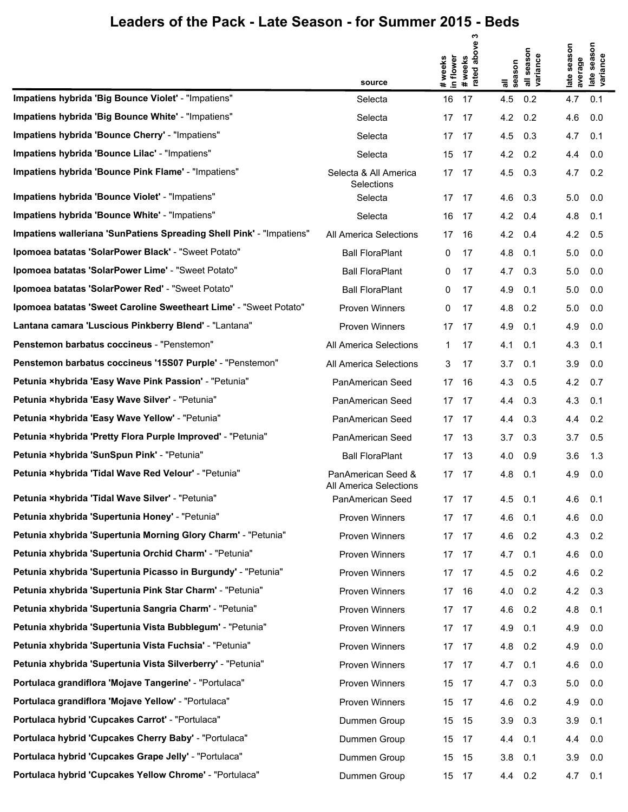|                                                                      |                                              |           | ო                   |                 |                                  |                  |                                 |
|----------------------------------------------------------------------|----------------------------------------------|-----------|---------------------|-----------------|----------------------------------|------------------|---------------------------------|
|                                                                      |                                              | in flower | weeks<br>ated above |                 | season<br>all seasol<br>variance | season           | season<br>late seas<br>variance |
|                                                                      | source                                       | # weeks   | #wee<br>rated       | season<br>π     |                                  | average<br>late: |                                 |
| Impatiens hybrida 'Big Bounce Violet' - "Impatiens"                  | Selecta                                      | 16        | 17                  | 4.5             | 0.2                              | 4.7              | 0.1                             |
| Impatiens hybrida 'Big Bounce White' - "Impatiens"                   | Selecta                                      |           | 17 17               | 4.2             | 0.2                              | 4.6              | 0.0                             |
| Impatiens hybrida 'Bounce Cherry' - "Impatiens"                      | Selecta                                      |           | 17 17               | 4.5             | 0.3                              | 4.7              | 0.1                             |
| Impatiens hybrida 'Bounce Lilac' - "Impatiens"                       | Selecta                                      |           | 15 17               | $4.2 \quad 0.2$ |                                  | 4.4              | 0.0                             |
| Impatiens hybrida 'Bounce Pink Flame' - "Impatiens"                  | Selecta & All America<br>Selections          |           | 17 17               | 4.5             | 0.3                              | 4.7              | 0.2                             |
| Impatiens hybrida 'Bounce Violet' - "Impatiens"                      | Selecta                                      |           | 17 17               | 4.6             | 0.3                              | 5.0              | 0.0                             |
| Impatiens hybrida 'Bounce White' - "Impatiens"                       | Selecta                                      |           | 16 17               | 4.2             | 0.4                              | 4.8              | 0.1                             |
| Impatiens walleriana 'SunPatiens Spreading Shell Pink' - "Impatiens" | All America Selections                       |           | 17 16               | 4.2             | 0.4                              | 4.2              | 0.5                             |
| Ipomoea batatas 'SolarPower Black' - "Sweet Potato"                  | <b>Ball FloraPlant</b>                       | 0         | 17                  | 4.8             | 0.1                              | 5.0              | 0.0                             |
| Ipomoea batatas 'SolarPower Lime' - "Sweet Potato"                   | <b>Ball FloraPlant</b>                       | 0         | 17                  | 4.7             | 0.3                              | 5.0              | 0.0                             |
| Ipomoea batatas 'SolarPower Red' - "Sweet Potato"                    | <b>Ball FloraPlant</b>                       | 0         | 17                  | 4.9             | 0.1                              | 5.0              | 0.0                             |
| Ipomoea batatas 'Sweet Caroline Sweetheart Lime' - "Sweet Potato"    | Proven Winners                               | 0         | 17                  | 4.8             | 0.2                              | 5.0              | 0.0                             |
| Lantana camara 'Luscious Pinkberry Blend' - "Lantana"                | Proven Winners                               |           | 17 17               | 4.9             | 0.1                              | 4.9              | 0.0                             |
| Penstemon barbatus coccineus - "Penstemon"                           | All America Selections                       | 1.        | 17                  | 4.1             | 0.1                              | 4.3              | 0.1                             |
| Penstemon barbatus coccineus '15S07 Purple' - "Penstemon"            | All America Selections                       | 3         | 17                  | 3.7             | 0.1                              | 3.9              | 0.0                             |
| Petunia ×hybrida 'Easy Wave Pink Passion' - "Petunia"                | PanAmerican Seed                             |           | 17 16               | 4.3             | 0.5                              | 4.2              | 0.7                             |
| Petunia ×hybrida 'Easy Wave Silver' - "Petunia"                      | PanAmerican Seed                             |           | 17 17               | 4.4 0.3         |                                  | 4.3              | 0.1                             |
| Petunia ×hybrida 'Easy Wave Yellow' - "Petunia"                      | PanAmerican Seed                             |           | 17 17               | 4.4             | 0.3                              | 4.4              | 0.2                             |
| Petunia xhybrida 'Pretty Flora Purple Improved' - "Petunia"          | PanAmerican Seed                             |           | 17 13               | 3.7             | 0.3                              | 3.7              | 0.5                             |
| Petunia ×hybrida 'SunSpun Pink' - "Petunia"                          | <b>Ball FloraPlant</b>                       |           | 17 13               | 4.0             | 0.9                              | 3.6              | 1.3                             |
| Petunia ×hybrida 'Tidal Wave Red Velour' - "Petunia"                 | PanAmerican Seed &<br>All America Selections |           | 17 17               | 4.8             | 0.1                              | 4.9              | 0.0                             |
| Petunia ×hybrida 'Tidal Wave Silver' - "Petunia"                     | PanAmerican Seed                             |           | 17 17               | 4.5             | 0.1                              | 4.6              | 0.1                             |
| Petunia xhybrida 'Supertunia Honey' - "Petunia"                      | Proven Winners                               |           | 17 17               | 4.6             | 0.1                              | 4.6              | 0.0                             |
| Petunia xhybrida 'Supertunia Morning Glory Charm' - "Petunia"        | Proven Winners                               |           | 17 17               | 4.6             | 0.2                              | 4.3              | 0.2                             |
| Petunia xhybrida 'Supertunia Orchid Charm' - "Petunia"               | Proven Winners                               |           | 17 17               | 4.7 0.1         |                                  | 4.6              | 0.0                             |
| Petunia xhybrida 'Supertunia Picasso in Burgundy' - "Petunia"        | Proven Winners                               |           | 17 17               | 4.5             | 0.2                              | 4.6              | 0.2                             |
| Petunia xhybrida 'Supertunia Pink Star Charm' - "Petunia"            | Proven Winners                               |           | 17 16               | 4.0             | 0.2                              | 4.2              | 0.3                             |
| Petunia xhybrida 'Supertunia Sangria Charm' - "Petunia"              | Proven Winners                               |           | 17 17               | 4.6             | 0.2                              | 4.8              | 0.1                             |
| Petunia xhybrida 'Supertunia Vista Bubblegum' - "Petunia"            | Proven Winners                               |           | 17 17               | 4.9             | 0.1                              | 4.9              | 0.0                             |
| Petunia xhybrida 'Supertunia Vista Fuchsia' - "Petunia"              | Proven Winners                               |           | 17 17               | 4.8             | 0.2                              | 4.9              | 0.0                             |
| Petunia xhybrida 'Supertunia Vista Silverberry' - "Petunia"          | Proven Winners                               |           | 17 17               | $4.7$ 0.1       |                                  | 4.6              | 0.0                             |
| Portulaca grandiflora 'Mojave Tangerine' - "Portulaca"               | Proven Winners                               |           | 15 17               | 4.7             | 0.3                              | 5.0              | 0.0                             |
| Portulaca grandiflora 'Mojave Yellow' - "Portulaca"                  | Proven Winners                               |           | 15 17               | 4.6             | 0.2                              | 4.9              | 0.0                             |
| Portulaca hybrid 'Cupcakes Carrot' - "Portulaca"                     | Dummen Group                                 |           | 15 15               | 3.9             | 0.3                              | 3.9              | 0.1                             |
| Portulaca hybrid 'Cupcakes Cherry Baby' - "Portulaca"                | Dummen Group                                 |           | 15 17               | 4.4 0.1         |                                  | 4.4              | 0.0                             |
| Portulaca hybrid 'Cupcakes Grape Jelly' - "Portulaca"                | Dummen Group                                 | 15        | - 15                | 3.8             | 0.1                              | 3.9              | 0.0                             |
| Portulaca hybrid 'Cupcakes Yellow Chrome' - "Portulaca"              | Dummen Group                                 |           | 15 17               | 4.4 0.2         |                                  | 4.7 0.1          |                                 |